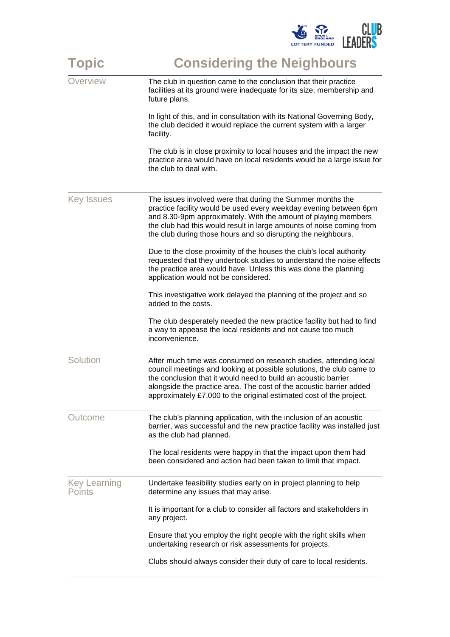| <b>Topic</b>                  | <b>Considering the Neighbours</b>                                                                                                                                                                                                                                                                                                                         |
|-------------------------------|-----------------------------------------------------------------------------------------------------------------------------------------------------------------------------------------------------------------------------------------------------------------------------------------------------------------------------------------------------------|
| Overview                      | The club in question came to the conclusion that their practice<br>facilities at its ground were inadequate for its size, membership and<br>future plans.                                                                                                                                                                                                 |
|                               | In light of this, and in consultation with its National Governing Body,<br>the club decided it would replace the current system with a larger<br>facility.                                                                                                                                                                                                |
|                               | The club is in close proximity to local houses and the impact the new<br>practice area would have on local residents would be a large issue for<br>the club to deal with.                                                                                                                                                                                 |
| <b>Key Issues</b>             | The issues involved were that during the Summer months the<br>practice facility would be used every weekday evening between 6pm<br>and 8.30-9pm approximately. With the amount of playing members<br>the club had this would result in large amounts of noise coming from<br>the club during those hours and so disrupting the neighbours.                |
|                               | Due to the close proximity of the houses the club's local authority<br>requested that they undertook studies to understand the noise effects<br>the practice area would have. Unless this was done the planning<br>application would not be considered.                                                                                                   |
|                               | This investigative work delayed the planning of the project and so<br>added to the costs.                                                                                                                                                                                                                                                                 |
|                               | The club desperately needed the new practice facility but had to find<br>a way to appease the local residents and not cause too much<br>inconvenience.                                                                                                                                                                                                    |
| Solution                      | After much time was consumed on research studies, attending local<br>council meetings and looking at possible solutions, the club came to<br>the conclusion that it would need to build an acoustic barrier<br>alongside the practice area. The cost of the acoustic barrier added<br>approximately £7,000 to the original estimated cost of the project. |
| Outcome                       | The club's planning application, with the inclusion of an acoustic<br>barrier, was successful and the new practice facility was installed just<br>as the club had planned.                                                                                                                                                                                |
|                               | The local residents were happy in that the impact upon them had<br>been considered and action had been taken to limit that impact.                                                                                                                                                                                                                        |
| Key Learning<br><b>Points</b> | Undertake feasibility studies early on in project planning to help<br>determine any issues that may arise.                                                                                                                                                                                                                                                |
|                               | It is important for a club to consider all factors and stakeholders in<br>any project.                                                                                                                                                                                                                                                                    |
|                               | Ensure that you employ the right people with the right skills when<br>undertaking research or risk assessments for projects.                                                                                                                                                                                                                              |
|                               | Clubs should always consider their duty of care to local residents.                                                                                                                                                                                                                                                                                       |